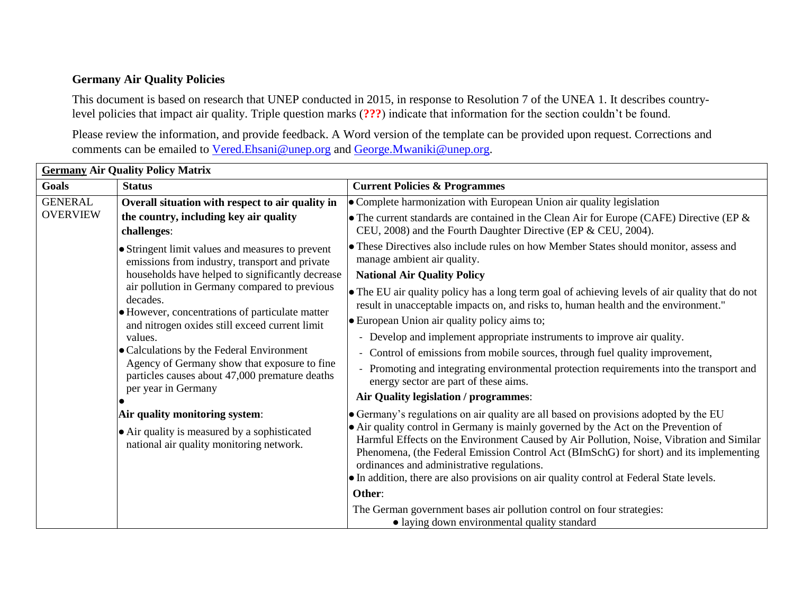## **Germany Air Quality Policies**

This document is based on research that UNEP conducted in 2015, in response to Resolution 7 of the UNEA 1. It describes countrylevel policies that impact air quality. Triple question marks (**???**) indicate that information for the section couldn't be found.

Please review the information, and provide feedback. A Word version of the template can be provided upon request. Corrections and comments can be emailed to [Vered.Ehsani@unep.org](mailto:Vered.Ehsani@unep.org) and [George.Mwaniki@unep.org.](mailto:George.Mwaniki@unep.org)

| <b>Germany Air Quality Policy Matrix</b> |                                                                                                                                                                                                                                                                                                                                     |                                                                                                                                                                                                                                                                                                                                                                                                                     |  |  |
|------------------------------------------|-------------------------------------------------------------------------------------------------------------------------------------------------------------------------------------------------------------------------------------------------------------------------------------------------------------------------------------|---------------------------------------------------------------------------------------------------------------------------------------------------------------------------------------------------------------------------------------------------------------------------------------------------------------------------------------------------------------------------------------------------------------------|--|--|
| Goals                                    | <b>Status</b>                                                                                                                                                                                                                                                                                                                       | <b>Current Policies &amp; Programmes</b>                                                                                                                                                                                                                                                                                                                                                                            |  |  |
| <b>GENERAL</b><br><b>OVERVIEW</b>        | Overall situation with respect to air quality in                                                                                                                                                                                                                                                                                    | • Complete harmonization with European Union air quality legislation                                                                                                                                                                                                                                                                                                                                                |  |  |
|                                          | the country, including key air quality<br>challenges:                                                                                                                                                                                                                                                                               | • The current standards are contained in the Clean Air for Europe (CAFE) Directive (EP $\&$<br>CEU, 2008) and the Fourth Daughter Directive (EP & CEU, 2004).                                                                                                                                                                                                                                                       |  |  |
|                                          | • Stringent limit values and measures to prevent<br>emissions from industry, transport and private<br>households have helped to significantly decrease<br>air pollution in Germany compared to previous<br>decades.<br>• However, concentrations of particulate matter<br>and nitrogen oxides still exceed current limit<br>values. | • These Directives also include rules on how Member States should monitor, assess and<br>manage ambient air quality.                                                                                                                                                                                                                                                                                                |  |  |
|                                          |                                                                                                                                                                                                                                                                                                                                     | <b>National Air Quality Policy</b>                                                                                                                                                                                                                                                                                                                                                                                  |  |  |
|                                          |                                                                                                                                                                                                                                                                                                                                     | • The EU air quality policy has a long term goal of achieving levels of air quality that do not<br>result in unacceptable impacts on, and risks to, human health and the environment."                                                                                                                                                                                                                              |  |  |
|                                          |                                                                                                                                                                                                                                                                                                                                     | • European Union air quality policy aims to;                                                                                                                                                                                                                                                                                                                                                                        |  |  |
|                                          |                                                                                                                                                                                                                                                                                                                                     | - Develop and implement appropriate instruments to improve air quality.                                                                                                                                                                                                                                                                                                                                             |  |  |
| per year in Germany                      | • Calculations by the Federal Environment                                                                                                                                                                                                                                                                                           | - Control of emissions from mobile sources, through fuel quality improvement,                                                                                                                                                                                                                                                                                                                                       |  |  |
|                                          | Agency of Germany show that exposure to fine<br>particles causes about 47,000 premature deaths                                                                                                                                                                                                                                      | - Promoting and integrating environmental protection requirements into the transport and<br>energy sector are part of these aims.                                                                                                                                                                                                                                                                                   |  |  |
|                                          |                                                                                                                                                                                                                                                                                                                                     | Air Quality legislation / programmes:                                                                                                                                                                                                                                                                                                                                                                               |  |  |
|                                          | Air quality monitoring system:                                                                                                                                                                                                                                                                                                      | • Germany's regulations on air quality are all based on provisions adopted by the EU                                                                                                                                                                                                                                                                                                                                |  |  |
|                                          | • Air quality is measured by a sophisticated<br>national air quality monitoring network.                                                                                                                                                                                                                                            | • Air quality control in Germany is mainly governed by the Act on the Prevention of<br>Harmful Effects on the Environment Caused by Air Pollution, Noise, Vibration and Similar<br>Phenomena, (the Federal Emission Control Act (BImSchG) for short) and its implementing<br>ordinances and administrative regulations.<br>• In addition, there are also provisions on air quality control at Federal State levels. |  |  |
|                                          |                                                                                                                                                                                                                                                                                                                                     | Other:                                                                                                                                                                                                                                                                                                                                                                                                              |  |  |
|                                          |                                                                                                                                                                                                                                                                                                                                     | The German government bases air pollution control on four strategies:<br>• laying down environmental quality standard                                                                                                                                                                                                                                                                                               |  |  |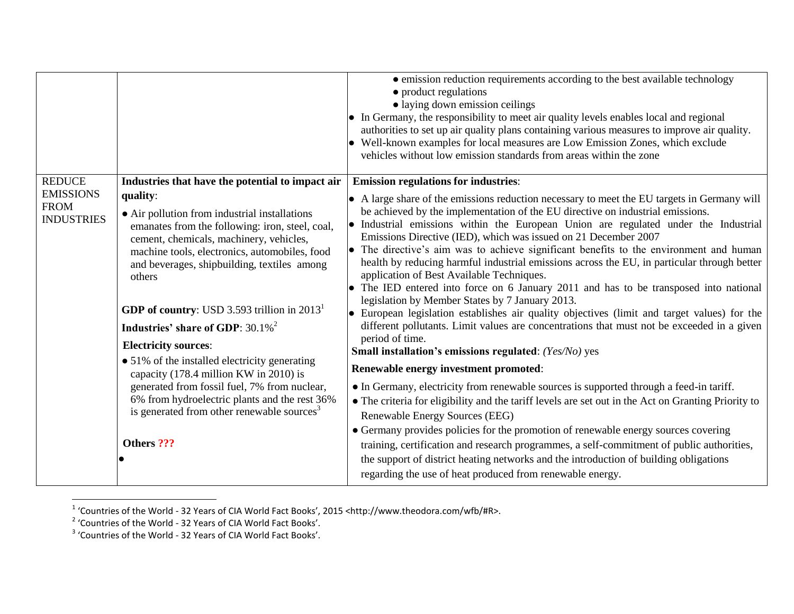|                                                      |                                                                                                                                                                                                                                                                                                                                                                                                                                                                                                                                                                                                                                                                | • emission reduction requirements according to the best available technology<br>• product regulations<br>· laying down emission ceilings<br>• In Germany, the responsibility to meet air quality levels enables local and regional<br>authorities to set up air quality plans containing various measures to improve air quality.<br>• Well-known examples for local measures are Low Emission Zones, which exclude<br>vehicles without low emission standards from areas within the zone                                                                                                                                                                                                                                                                                                                                                                                                                                                 |
|------------------------------------------------------|----------------------------------------------------------------------------------------------------------------------------------------------------------------------------------------------------------------------------------------------------------------------------------------------------------------------------------------------------------------------------------------------------------------------------------------------------------------------------------------------------------------------------------------------------------------------------------------------------------------------------------------------------------------|-------------------------------------------------------------------------------------------------------------------------------------------------------------------------------------------------------------------------------------------------------------------------------------------------------------------------------------------------------------------------------------------------------------------------------------------------------------------------------------------------------------------------------------------------------------------------------------------------------------------------------------------------------------------------------------------------------------------------------------------------------------------------------------------------------------------------------------------------------------------------------------------------------------------------------------------|
| <b>REDUCE</b>                                        | Industries that have the potential to impact air                                                                                                                                                                                                                                                                                                                                                                                                                                                                                                                                                                                                               | <b>Emission regulations for industries:</b>                                                                                                                                                                                                                                                                                                                                                                                                                                                                                                                                                                                                                                                                                                                                                                                                                                                                                               |
| <b>EMISSIONS</b><br><b>FROM</b><br><b>INDUSTRIES</b> | quality:<br>• Air pollution from industrial installations<br>emanates from the following: iron, steel, coal,<br>cement, chemicals, machinery, vehicles,<br>machine tools, electronics, automobiles, food<br>and beverages, shipbuilding, textiles among<br>others<br><b>GDP of country:</b> USD 3.593 trillion in $20131$<br>Industries' share of GDP: 30.1% <sup>2</sup><br><b>Electricity sources:</b><br>• 51% of the installed electricity generating<br>capacity (178.4 million KW in 2010) is<br>generated from fossil fuel, 7% from nuclear,<br>6% from hydroelectric plants and the rest 36%<br>is generated from other renewable sources <sup>3</sup> | • A large share of the emissions reduction necessary to meet the EU targets in Germany will<br>be achieved by the implementation of the EU directive on industrial emissions.<br>• Industrial emissions within the European Union are regulated under the Industrial<br>Emissions Directive (IED), which was issued on 21 December 2007<br>• The directive's aim was to achieve significant benefits to the environment and human<br>health by reducing harmful industrial emissions across the EU, in particular through better<br>application of Best Available Techniques.<br>• The IED entered into force on 6 January 2011 and has to be transposed into national<br>legislation by Member States by 7 January 2013.<br>• European legislation establishes air quality objectives (limit and target values) for the<br>different pollutants. Limit values are concentrations that must not be exceeded in a given<br>period of time. |
|                                                      |                                                                                                                                                                                                                                                                                                                                                                                                                                                                                                                                                                                                                                                                | <b>Small installation's emissions regulated:</b> (Yes/No) yes                                                                                                                                                                                                                                                                                                                                                                                                                                                                                                                                                                                                                                                                                                                                                                                                                                                                             |
|                                                      |                                                                                                                                                                                                                                                                                                                                                                                                                                                                                                                                                                                                                                                                | <b>Renewable energy investment promoted:</b><br>• In Germany, electricity from renewable sources is supported through a feed-in tariff.<br>• The criteria for eligibility and the tariff levels are set out in the Act on Granting Priority to<br>Renewable Energy Sources (EEG)                                                                                                                                                                                                                                                                                                                                                                                                                                                                                                                                                                                                                                                          |
|                                                      | Others ???                                                                                                                                                                                                                                                                                                                                                                                                                                                                                                                                                                                                                                                     | • Germany provides policies for the promotion of renewable energy sources covering<br>training, certification and research programmes, a self-commitment of public authorities,                                                                                                                                                                                                                                                                                                                                                                                                                                                                                                                                                                                                                                                                                                                                                           |
|                                                      |                                                                                                                                                                                                                                                                                                                                                                                                                                                                                                                                                                                                                                                                | the support of district heating networks and the introduction of building obligations<br>regarding the use of heat produced from renewable energy.                                                                                                                                                                                                                                                                                                                                                                                                                                                                                                                                                                                                                                                                                                                                                                                        |

<sup>&</sup>lt;sup>1</sup> 'Countries of the World - 32 Years of CIA World Fact Books', 2015 <http://www.theodora.com/wfb/#R>.<br><sup>2</sup> 'Countries of the World - 32 Years of CIA World Fact Books'.<br><sup>3</sup> 'Countries of the World - 32 Years of CIA World F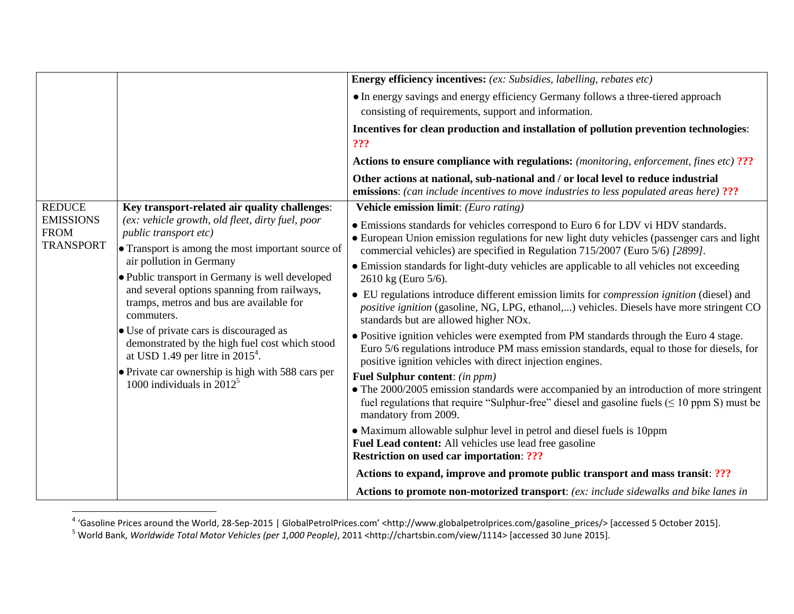|                                                     |                                                                                                                                                                                                                                                                                                                                                                                | <b>Energy efficiency incentives:</b> (ex: Subsidies, labelling, rebates etc)                                                                                                                                                                                     |
|-----------------------------------------------------|--------------------------------------------------------------------------------------------------------------------------------------------------------------------------------------------------------------------------------------------------------------------------------------------------------------------------------------------------------------------------------|------------------------------------------------------------------------------------------------------------------------------------------------------------------------------------------------------------------------------------------------------------------|
|                                                     |                                                                                                                                                                                                                                                                                                                                                                                | • In energy savings and energy efficiency Germany follows a three-tiered approach<br>consisting of requirements, support and information.                                                                                                                        |
|                                                     |                                                                                                                                                                                                                                                                                                                                                                                | Incentives for clean production and installation of pollution prevention technologies:<br>???                                                                                                                                                                    |
|                                                     |                                                                                                                                                                                                                                                                                                                                                                                | Actions to ensure compliance with regulations: (monitoring, enforcement, fines etc) ???                                                                                                                                                                          |
|                                                     |                                                                                                                                                                                                                                                                                                                                                                                | Other actions at national, sub-national and / or local level to reduce industrial<br><b>emissions:</b> (can include incentives to move industries to less populated areas here) ???                                                                              |
| <b>REDUCE</b>                                       | Key transport-related air quality challenges:<br>(ex: vehicle growth, old fleet, dirty fuel, poor<br><i>public transport etc)</i><br>• Transport is among the most important source of<br>air pollution in Germany<br>· Public transport in Germany is well developed<br>and several options spanning from railways,<br>tramps, metros and bus are available for<br>commuters. | Vehicle emission limit: (Euro rating)                                                                                                                                                                                                                            |
| <b>EMISSIONS</b><br><b>FROM</b><br><b>TRANSPORT</b> |                                                                                                                                                                                                                                                                                                                                                                                | • Emissions standards for vehicles correspond to Euro 6 for LDV vi HDV standards.<br>• European Union emission regulations for new light duty vehicles (passenger cars and light<br>commercial vehicles) are specified in Regulation 715/2007 (Euro 5/6) [2899]. |
|                                                     |                                                                                                                                                                                                                                                                                                                                                                                | • Emission standards for light-duty vehicles are applicable to all vehicles not exceeding<br>2610 kg (Euro 5/6).                                                                                                                                                 |
|                                                     |                                                                                                                                                                                                                                                                                                                                                                                | • EU regulations introduce different emission limits for <i>compression ignition</i> (diesel) and<br>positive ignition (gasoline, NG, LPG, ethanol,) vehicles. Diesels have more stringent CO<br>standards but are allowed higher NO <sub>x</sub> .              |
|                                                     | • Use of private cars is discouraged as<br>demonstrated by the high fuel cost which stood<br>at USD 1.49 per litre in $2015^4$ .                                                                                                                                                                                                                                               | • Positive ignition vehicles were exempted from PM standards through the Euro 4 stage.<br>Euro 5/6 regulations introduce PM mass emission standards, equal to those for diesels, for<br>positive ignition vehicles with direct injection engines.                |
|                                                     | • Private car ownership is high with 588 cars per<br>1000 individuals in $2012^5$                                                                                                                                                                                                                                                                                              | <b>Fuel Sulphur content: (in ppm)</b>                                                                                                                                                                                                                            |
|                                                     |                                                                                                                                                                                                                                                                                                                                                                                | • The 2000/2005 emission standards were accompanied by an introduction of more stringent<br>fuel regulations that require "Sulphur-free" diesel and gasoline fuels ( $\leq 10$ ppm S) must be<br>mandatory from 2009.                                            |
|                                                     |                                                                                                                                                                                                                                                                                                                                                                                | • Maximum allowable sulphur level in petrol and diesel fuels is 10ppm<br>Fuel Lead content: All vehicles use lead free gasoline<br><b>Restriction on used car importation: ???</b>                                                                               |
|                                                     |                                                                                                                                                                                                                                                                                                                                                                                | Actions to expand, improve and promote public transport and mass transit: ???                                                                                                                                                                                    |
|                                                     |                                                                                                                                                                                                                                                                                                                                                                                | Actions to promote non-motorized transport: (ex: include sidewalks and bike lanes in                                                                                                                                                                             |

 4 'Gasoline Prices around the World, 28-Sep-2015 | GlobalPetrolPrices.com' <http://www.globalpetrolprices.com/gasoline\_prices/> [accessed 5 October 2015].

<sup>5</sup> World Bank, *Worldwide Total Motor Vehicles (per 1,000 People)*, 2011 <http://chartsbin.com/view/1114> [accessed 30 June 2015].